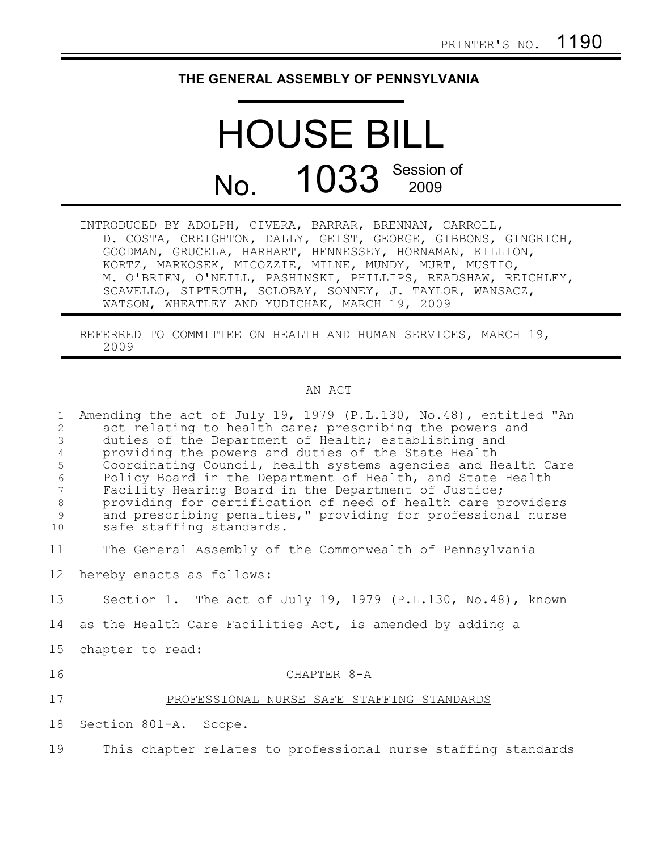## **THE GENERAL ASSEMBLY OF PENNSYLVANIA**

## HOUSE BILL No. 1033 Session of

INTRODUCED BY ADOLPH, CIVERA, BARRAR, BRENNAN, CARROLL, D. COSTA, CREIGHTON, DALLY, GEIST, GEORGE, GIBBONS, GINGRICH, GOODMAN, GRUCELA, HARHART, HENNESSEY, HORNAMAN, KILLION, KORTZ, MARKOSEK, MICOZZIE, MILNE, MUNDY, MURT, MUSTIO, M. O'BRIEN, O'NEILL, PASHINSKI, PHILLIPS, READSHAW, REICHLEY, SCAVELLO, SIPTROTH, SOLOBAY, SONNEY, J. TAYLOR, WANSACZ, WATSON, WHEATLEY AND YUDICHAK, MARCH 19, 2009

REFERRED TO COMMITTEE ON HEALTH AND HUMAN SERVICES, MARCH 19, 2009

## AN ACT

| Amending the act of July 19, 1979 (P.L.130, No.48), entitled "An<br>act relating to health care; prescribing the powers and<br>duties of the Department of Health; establishing and<br>providing the powers and duties of the State Health<br>Coordinating Council, health systems agencies and Health Care<br>Policy Board in the Department of Health, and State Health<br>Facility Hearing Board in the Department of Justice;<br>providing for certification of need of health care providers<br>and prescribing penalties," providing for professional nurse<br>safe staffing standards. |
|-----------------------------------------------------------------------------------------------------------------------------------------------------------------------------------------------------------------------------------------------------------------------------------------------------------------------------------------------------------------------------------------------------------------------------------------------------------------------------------------------------------------------------------------------------------------------------------------------|
| The General Assembly of the Commonwealth of Pennsylvania                                                                                                                                                                                                                                                                                                                                                                                                                                                                                                                                      |
| hereby enacts as follows:                                                                                                                                                                                                                                                                                                                                                                                                                                                                                                                                                                     |
| Section 1. The act of July 19, 1979 (P.L.130, No.48), known                                                                                                                                                                                                                                                                                                                                                                                                                                                                                                                                   |
| as the Health Care Facilities Act, is amended by adding a                                                                                                                                                                                                                                                                                                                                                                                                                                                                                                                                     |
| chapter to read:                                                                                                                                                                                                                                                                                                                                                                                                                                                                                                                                                                              |
| CHAPTER 8-A                                                                                                                                                                                                                                                                                                                                                                                                                                                                                                                                                                                   |
| PROFESSIONAL NURSE SAFE STAFFING STANDARDS                                                                                                                                                                                                                                                                                                                                                                                                                                                                                                                                                    |
| Section 801-A. Scope.                                                                                                                                                                                                                                                                                                                                                                                                                                                                                                                                                                         |
| This chapter relates to professional nurse staffing standards                                                                                                                                                                                                                                                                                                                                                                                                                                                                                                                                 |
|                                                                                                                                                                                                                                                                                                                                                                                                                                                                                                                                                                                               |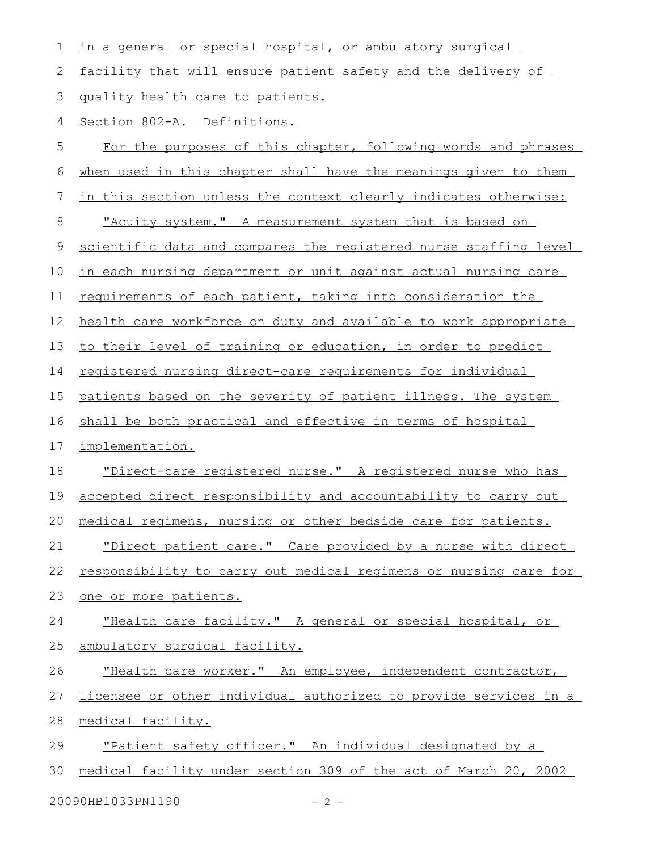| 1           | in a general or special hospital, or ambulatory surgical         |
|-------------|------------------------------------------------------------------|
| 2           | facility that will ensure patient safety and the delivery of     |
| 3           | quality health care to patients.                                 |
| 4           | Section 802-A. Definitions.                                      |
| 5           | For the purposes of this chapter, following words and phrases    |
| 6           | when used in this chapter shall have the meanings given to them  |
| 7           | in this section unless the context clearly indicates otherwise:  |
| 8           | "Acuity system." A measurement system that is based on           |
| $\mathsf 9$ | scientific data and compares the registered nurse staffing level |
| 10          | in each nursing department or unit against actual nursing care   |
| 11          | requirements of each patient, taking into consideration the      |
| 12          | health care workforce on duty and available to work appropriate  |
| 13          | to their level of training or education, in order to predict     |
| 14          | registered nursing direct-care requirements for individual       |
| 15          | patients based on the severity of patient illness. The system    |
| 16          | shall be both practical and effective in terms of hospital       |
| 17          | implementation.                                                  |
| 18          | "Direct-care registered nurse." A registered nurse who has       |
| 19          | accepted direct responsibility and accountability to carry out   |
| 20          | medical regimens, nursing or other bedside care for patients.    |
| 21          | "Direct patient care." Care provided by a nurse with direct      |
| 22          | responsibility to carry out medical regimens or nursing care for |
| 23          | one or more patients.                                            |
| 24          | "Health care facility." A general or special hospital, or        |
| 25          | ambulatory surgical facility.                                    |
| 26          | "Health care worker." An employee, independent contractor,       |
| 27          | licensee or other individual authorized to provide services in a |
| 28          | medical facility.                                                |
| 29          | "Patient safety officer." An individual designated by a          |
| 30          | medical facility under section 309 of the act of March 20, 2002  |
|             | 20090HB1033PN1190<br>$-2 -$                                      |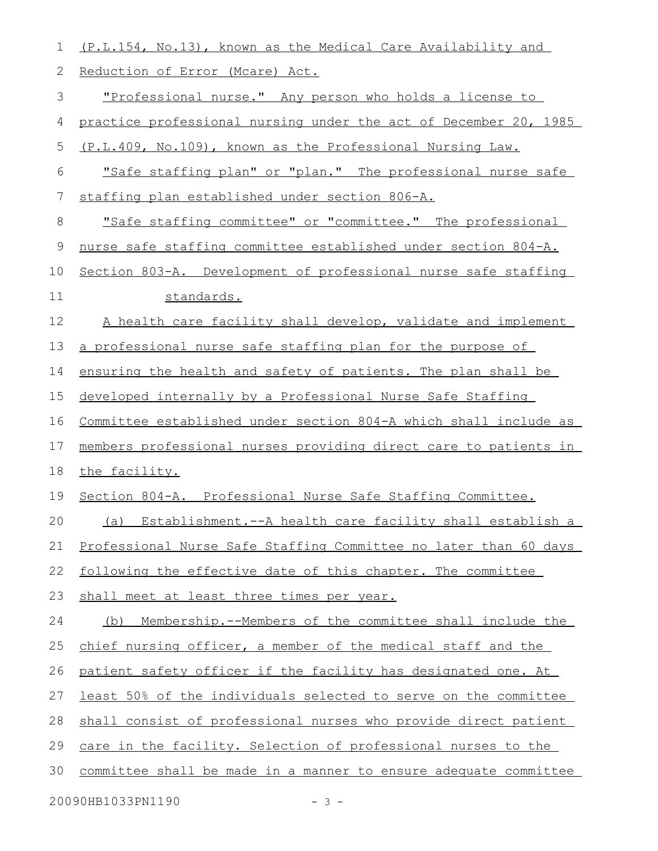| 1           | (P.L.154, No.13), known as the Medical Care Availability and     |
|-------------|------------------------------------------------------------------|
| 2           | Reduction of Error (Mcare) Act.                                  |
| 3           | <u>"Professional nurse." Any person who holds a license to </u>  |
| 4           | practice professional nursing under the act of December 20, 1985 |
| 5           | (P.L.409, No.109), known as the Professional Nursing Law.        |
| 6           | "Safe staffing plan" or "plan." The professional nurse safe      |
| 7           | staffing plan established under section 806-A.                   |
| $\,8\,$     | "Safe staffing committee" or "committee." The professional       |
| $\mathsf 9$ | nurse safe staffing committee established under section 804-A.   |
| 10          | Section 803-A. Development of professional nurse safe staffing   |
| 11          | standards.                                                       |
| 12          | A health care facility shall develop, validate and implement     |
| 13          | a professional nurse safe staffing plan for the purpose of       |
| 14          | ensuring the health and safety of patients. The plan shall be    |
| 15          | developed internally by a Professional Nurse Safe Staffing       |
| 16          | Committee established under section 804-A which shall include as |
| 17          | members professional nurses providing direct care to patients in |
| 18          | the facility.                                                    |
| 19          | Section 804-A. Professional Nurse Safe Staffing Committee.       |
| 20          | Establishment.--A health care facility shall establish a<br>(a)  |
| 21          | Professional Nurse Safe Staffing Committee no later than 60 days |
| 22          | following the effective date of this chapter. The committee      |
| 23          | shall meet at least three times per year.                        |
| 24          | (b) Membership.--Members of the committee shall include the      |
| 25          | chief nursing officer, a member of the medical staff and the     |
| 26          | patient safety officer if the facility has designated one. At    |
| 27          | least 50% of the individuals selected to serve on the committee  |
| 28          | shall consist of professional nurses who provide direct patient  |
| 29          | care in the facility. Selection of professional nurses to the    |
| 30          | committee shall be made in a manner to ensure adequate committee |
|             | 20090HB1033PN1190<br>$-3-$                                       |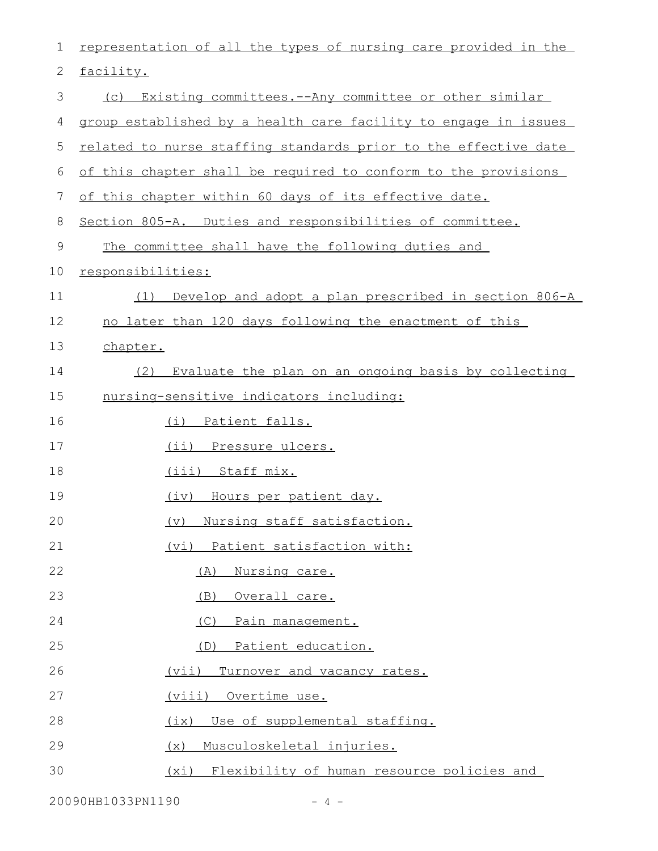| 1            | representation of all the types of nursing care provided in the |
|--------------|-----------------------------------------------------------------|
| $\mathbf{2}$ | facility.                                                       |
| 3            | (c) Existing committees.--Any committee or other similar        |
| 4            | group established by a health care facility to engage in issues |
| 5            | related to nurse staffing standards prior to the effective date |
| 6            | of this chapter shall be required to conform to the provisions  |
| 7            | of this chapter within 60 days of its effective date.           |
| 8            | Section 805-A. Duties and responsibilities of committee.        |
| $\mathsf 9$  | The committee shall have the following duties and               |
| 10           | responsibilities:                                               |
| 11           | (1) Develop and adopt a plan prescribed in section 806-A        |
| 12           | no later than 120 days following the enactment of this          |
| 13           | chapter.                                                        |
| 14           | Evaluate the plan on an ongoing basis by collecting<br>(2)      |
| 15           | nursing-sensitive indicators including:                         |
| 16           | (i) Patient falls.                                              |
| 17           | (ii) Pressure ulcers.                                           |
| 18           | (iii) Staff mix.                                                |
| 19           | Hours per patient day.<br>(iv)                                  |
| 20           | Nursing staff satisfaction.<br>(v)                              |
| 21           | (vi) Patient satisfaction with:                                 |
| 22           | Nursing care.<br>(A)                                            |
| 23           | (B)<br>Overall care.                                            |
| 24           | (C) Pain management.                                            |
| 25           | Patient education.<br>(D)                                       |
| 26           | Turnover and vacancy rates.<br>(vii)                            |
| 27           | (viii) Overtime use.                                            |
| 28           | (ix) Use of supplemental staffing.                              |
| 29           | Musculoskeletal injuries.<br>(x)                                |
| 30           | (xi) Flexibility of human resource policies and                 |

20090HB1033PN1190 - 4 -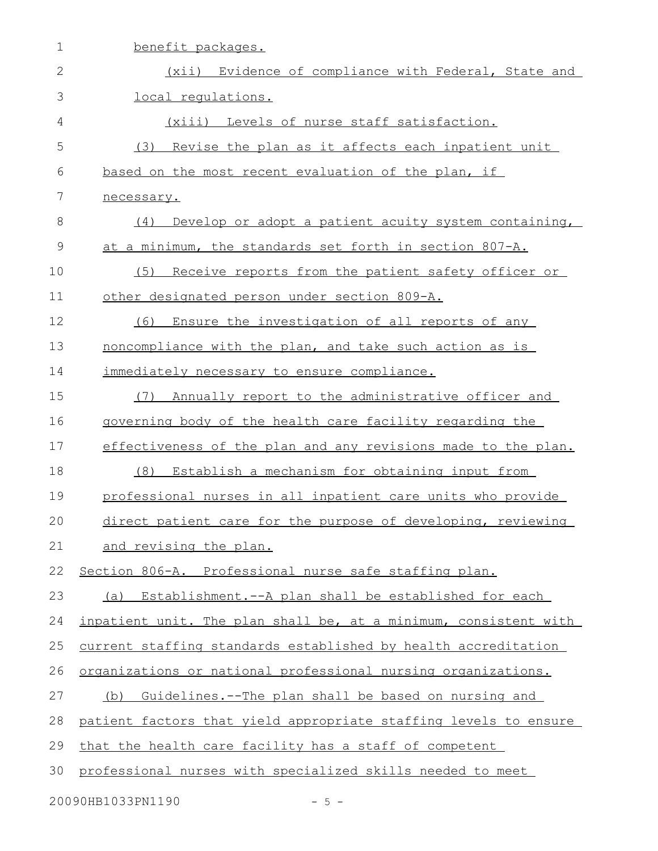| $\mathbf 1$   | benefit packages.                                                |
|---------------|------------------------------------------------------------------|
| $\mathbf{2}$  | Evidence of compliance with Federal, State and<br>(xii)          |
| 3             | local requlations.                                               |
| 4             | (xiii) Levels of nurse staff satisfaction.                       |
| 5             | Revise the plan as it affects each inpatient unit<br>(3)         |
| 6             | based on the most recent evaluation of the plan, if              |
| 7             | necessary.                                                       |
| 8             | Develop or adopt a patient acuity system containing,<br>(4)      |
| $\mathcal{G}$ | at a minimum, the standards set forth in section 807-A.          |
| 10            | Receive reports from the patient safety officer or<br>(5)        |
| 11            | other designated person under section 809-A.                     |
| 12            | Ensure the investigation of all reports of any<br>(6)            |
| 13            | noncompliance with the plan, and take such action as is          |
| 14            | immediately necessary to ensure compliance.                      |
| 15            | Annually report to the administrative officer and<br>(7)         |
| 16            | governing body of the health care facility regarding the         |
| 17            | effectiveness of the plan and any revisions made to the plan.    |
| 18            | Establish a mechanism for obtaining input from<br>(8)            |
| 19            | professional nurses in all inpatient care units who provide      |
| 20            | direct patient care for the purpose of developing, reviewing     |
| 21            | and revising the plan.                                           |
| 22            | Section 806-A. Professional nurse safe staffing plan.            |
| 23            | (a) Establishment.--A plan shall be established for each         |
| 24            | inpatient unit. The plan shall be, at a minimum, consistent with |
| 25            | current staffing standards established by health accreditation   |
| 26            | organizations or national professional nursing organizations.    |
| 27            | Guidelines.--The plan shall be based on nursing and<br>(b)       |
| 28            | patient factors that yield appropriate staffing levels to ensure |
| 29            | that the health care facility has a staff of competent           |
| 30            | professional nurses with specialized skills needed to meet       |
|               | 20090HB1033PN1190<br>$-5 -$                                      |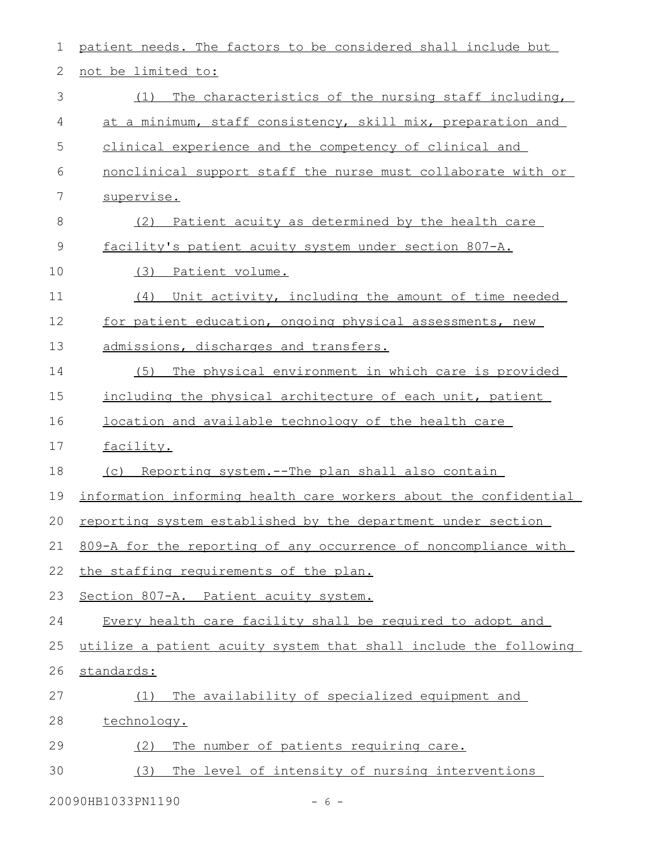| $\mathbf 1$    | patient needs. The factors to be considered shall include but    |
|----------------|------------------------------------------------------------------|
| 2              | not be limited to:                                               |
| 3              | The characteristics of the nursing staff including,<br>(1)       |
| 4              | at a minimum, staff consistency, skill mix, preparation and      |
| 5              | clinical experience and the competency of clinical and           |
| 6              | nonclinical support staff the nurse must collaborate with or     |
| $\overline{7}$ | supervise.                                                       |
| 8              | Patient acuity as determined by the health care<br>(2)           |
| $\mathcal{G}$  | facility's patient acuity system under section 807-A.            |
| 10             | (3) Patient volume.                                              |
| 11             | Unit activity, including the amount of time needed<br>(4)        |
| 12             | for patient education, ongoing physical assessments, new         |
| 13             | admissions, discharges and transfers.                            |
| 14             | (5)<br>The physical environment in which care is provided        |
| 15             | including the physical architecture of each unit, patient        |
| 16             | location and available technology of the health care             |
| 17             | facility.                                                        |
| 18             | (c) Reporting system.--The plan shall also contain               |
| 19             | information informing health care workers about the confidential |
| 20             | reporting system established by the department under section     |
| 21             | 809-A for the reporting of any occurrence of noncompliance with  |
| 22             | the staffing requirements of the plan.                           |
| 23             | Section 807-A. Patient acuity system.                            |
| 24             | Every health care facility shall be required to adopt and        |
| 25             | utilize a patient acuity system that shall include the following |
| 26             | standards:                                                       |
| 27             | The availability of specialized equipment and<br>(1)             |
| 28             | technology.                                                      |
| 29             | The number of patients requiring care.<br>(2)                    |
| 30             | The level of intensity of nursing interventions<br>(3)           |
|                |                                                                  |

20090HB1033PN1190 - 6 -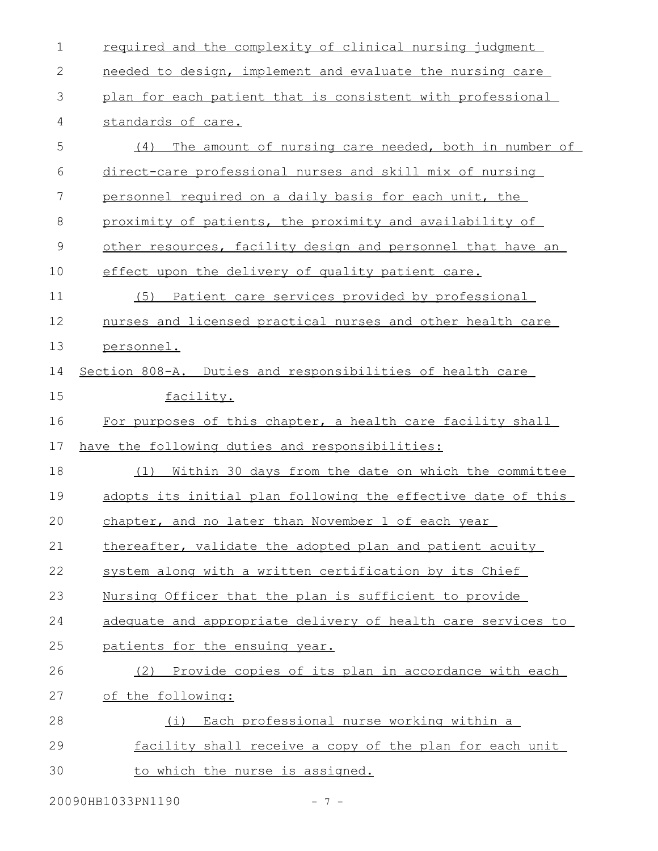| $\mathbf 1$ | required and the complexity of clinical nursing judgment     |
|-------------|--------------------------------------------------------------|
| 2           | needed to design, implement and evaluate the nursing care    |
| 3           | plan for each patient that is consistent with professional   |
| 4           | standards of care.                                           |
| 5           | (4)<br>The amount of nursing care needed, both in number of  |
| 6           | direct-care professional nurses and skill mix of nursing     |
| 7           | personnel required on a daily basis for each unit, the       |
| 8           | proximity of patients, the proximity and availability of     |
| 9           | other resources, facility design and personnel that have an  |
| 10          | effect upon the delivery of quality patient care.            |
| 11          | (5) Patient care services provided by professional           |
| 12          | nurses and licensed practical nurses and other health care   |
| 13          | personnel.                                                   |
| 14          | Section 808-A. Duties and responsibilities of health care    |
| 15          | facility.                                                    |
| 16          | For purposes of this chapter, a health care facility shall   |
| 17          | have the following duties and responsibilities:              |
| 18          | Within 30 days from the date on which the committee<br>(1)   |
| 19          |                                                              |
|             | adopts its initial plan following the effective date of this |
| 20          | chapter, and no later than November 1 of each year           |
| 21          | thereafter, validate the adopted plan and patient acuity     |
| 22          | system along with a written certification by its Chief       |
| 23          | Nursing Officer that the plan is sufficient to provide       |
| 24          | adequate and appropriate delivery of health care services to |
| 25          | patients for the ensuing year.                               |
| 26          | Provide copies of its plan in accordance with each<br>(2)    |
| 27          | of the following:                                            |
| 28          | Each professional nurse working within a<br>(i)              |
| 29          | facility shall receive a copy of the plan for each unit      |

20090HB1033PN1190 - 7 -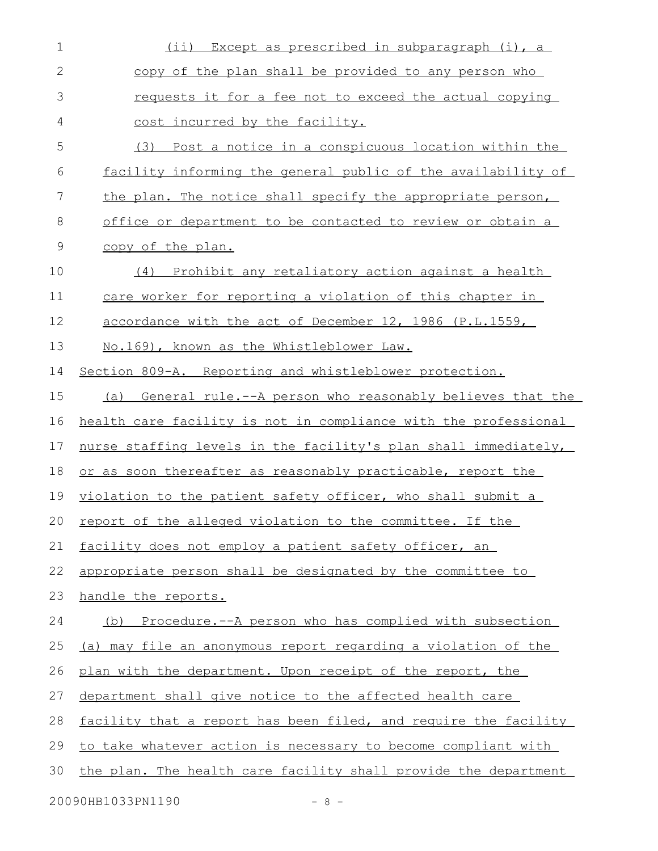| $\mathbf 1$ | Except as prescribed in subparagraph (i), a<br>$(i$ i)            |
|-------------|-------------------------------------------------------------------|
| $\mathbf 2$ | copy of the plan shall be provided to any person who              |
| 3           | requests it for a fee not to exceed the actual copying            |
| 4           | cost incurred by the facility.                                    |
| 5           | Post a notice in a conspicuous location within the<br>(3)         |
| 6           | facility informing the general public of the availability of      |
| 7           | the plan. The notice shall specify the appropriate person,        |
| 8           | <u>office or department to be contacted to review or obtain a</u> |
| $\mathsf 9$ | copy of the plan.                                                 |
| 10          | Prohibit any retaliatory action against a health<br>(4)           |
| 11          | care worker for reporting a violation of this chapter in          |
| 12          | accordance with the act of December 12, 1986 (P.L.1559,           |
| 13          | No.169), known as the Whistleblower Law.                          |
| 14          | Section 809-A. Reporting and whistleblower protection.            |
| 15          | (a) General rule.--A person who reasonably believes that the      |
| 16          | health care facility is not in compliance with the professional   |
| 17          | nurse staffing levels in the facility's plan shall immediately,   |
| 18          | or as soon thereafter as reasonably practicable, report the       |
| 19          | violation to the patient safety officer, who shall submit a       |
| 20          | report of the alleged violation to the committee. If the          |
| 21          | facility does not employ a patient safety officer, an             |
| 22          | appropriate person shall be designated by the committee to        |
| 23          | handle the reports.                                               |
| 24          | (b) Procedure.--A person who has complied with subsection         |
| 25          | (a) may file an anonymous report regarding a violation of the     |
| 26          | plan with the department. Upon receipt of the report, the         |
| 27          | department shall give notice to the affected health care          |
| 28          | facility that a report has been filed, and require the facility   |
| 29          | to take whatever action is necessary to become compliant with     |
| 30          | the plan. The health care facility shall provide the department   |
|             | 20090HB1033PN1190<br>$-8-$                                        |